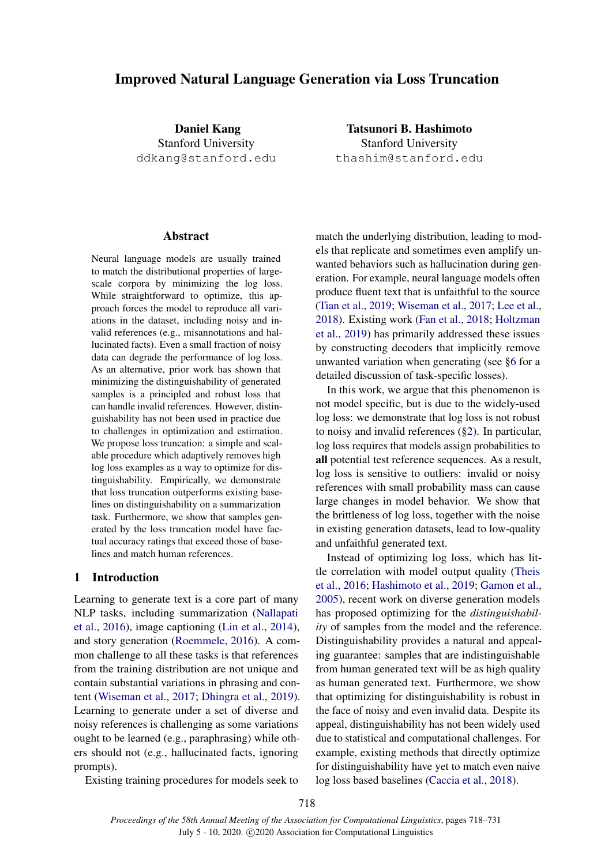# Improved Natural Language Generation via Loss Truncation

Daniel Kang Stanford University ddkang@stanford.edu

Tatsunori B. Hashimoto Stanford University thashim@stanford.edu

#### Abstract

Neural language models are usually trained to match the distributional properties of largescale corpora by minimizing the log loss. While straightforward to optimize, this approach forces the model to reproduce all variations in the dataset, including noisy and invalid references (e.g., misannotations and hallucinated facts). Even a small fraction of noisy data can degrade the performance of log loss. As an alternative, prior work has shown that minimizing the distinguishability of generated samples is a principled and robust loss that can handle invalid references. However, distinguishability has not been used in practice due to challenges in optimization and estimation. We propose loss truncation: a simple and scalable procedure which adaptively removes high log loss examples as a way to optimize for distinguishability. Empirically, we demonstrate that loss truncation outperforms existing baselines on distinguishability on a summarization task. Furthermore, we show that samples generated by the loss truncation model have factual accuracy ratings that exceed those of baselines and match human references.

## 1 Introduction

Learning to generate text is a core part of many NLP tasks, including summarization [\(Nallapati](#page-10-0) [et al.,](#page-10-0) [2016\)](#page-10-0), image captioning [\(Lin et al.,](#page-10-1) [2014\)](#page-10-1), and story generation [\(Roemmele,](#page-10-2) [2016\)](#page-10-2). A common challenge to all these tasks is that references from the training distribution are not unique and contain substantial variations in phrasing and content [\(Wiseman et al.,](#page-10-3) [2017;](#page-10-3) [Dhingra et al.,](#page-9-0) [2019\)](#page-9-0). Learning to generate under a set of diverse and noisy references is challenging as some variations ought to be learned (e.g., paraphrasing) while others should not (e.g., hallucinated facts, ignoring prompts).

Existing training procedures for models seek to

match the underlying distribution, leading to models that replicate and sometimes even amplify unwanted behaviors such as hallucination during generation. For example, neural language models often produce fluent text that is unfaithful to the source [\(Tian et al.,](#page-10-4) [2019;](#page-10-4) [Wiseman et al.,](#page-10-3) [2017;](#page-10-3) [Lee et al.,](#page-9-1) [2018\)](#page-9-1). Existing work [\(Fan et al.,](#page-9-2) [2018;](#page-9-2) [Holtzman](#page-9-3) [et al.,](#page-9-3) [2019\)](#page-9-3) has primarily addressed these issues by constructing decoders that implicitly remove unwanted variation when generating (see [§6](#page-7-0) for a detailed discussion of task-specific losses).

In this work, we argue that this phenomenon is not model specific, but is due to the widely-used log loss: we demonstrate that log loss is not robust to noisy and invalid references ([§2\)](#page-1-0). In particular, log loss requires that models assign probabilities to all potential test reference sequences. As a result, log loss is sensitive to outliers: invalid or noisy references with small probability mass can cause large changes in model behavior. We show that the brittleness of log loss, together with the noise in existing generation datasets, lead to low-quality and unfaithful generated text.

Instead of optimizing log loss, which has little correlation with model output quality [\(Theis](#page-10-5) [et al.,](#page-10-5) [2016;](#page-10-5) [Hashimoto et al.,](#page-9-4) [2019;](#page-9-4) [Gamon et al.,](#page-9-5) [2005\)](#page-9-5), recent work on diverse generation models has proposed optimizing for the *distinguishability* of samples from the model and the reference. Distinguishability provides a natural and appealing guarantee: samples that are indistinguishable from human generated text will be as high quality as human generated text. Furthermore, we show that optimizing for distinguishability is robust in the face of noisy and even invalid data. Despite its appeal, distinguishability has not been widely used due to statistical and computational challenges. For example, existing methods that directly optimize for distinguishability have yet to match even naive log loss based baselines [\(Caccia et al.,](#page-9-6) [2018\)](#page-9-6).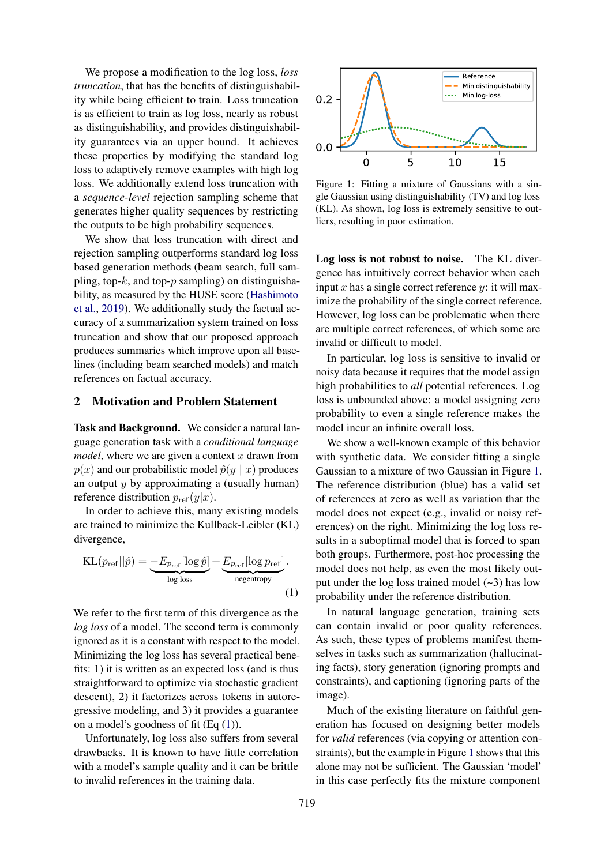We propose a modification to the log loss, *loss truncation*, that has the benefits of distinguishability while being efficient to train. Loss truncation is as efficient to train as log loss, nearly as robust as distinguishability, and provides distinguishability guarantees via an upper bound. It achieves these properties by modifying the standard log loss to adaptively remove examples with high log loss. We additionally extend loss truncation with a *sequence-level* rejection sampling scheme that generates higher quality sequences by restricting the outputs to be high probability sequences.

We show that loss truncation with direct and rejection sampling outperforms standard log loss based generation methods (beam search, full sampling, top- $k$ , and top- $p$  sampling) on distinguishability, as measured by the HUSE score [\(Hashimoto](#page-9-4) [et al.,](#page-9-4) [2019\)](#page-9-4). We additionally study the factual accuracy of a summarization system trained on loss truncation and show that our proposed approach produces summaries which improve upon all baselines (including beam searched models) and match references on factual accuracy.

### <span id="page-1-0"></span>2 Motivation and Problem Statement

Task and Background. We consider a natural language generation task with a *conditional language model*, where we are given a context  $x$  drawn from  $p(x)$  and our probabilistic model  $\hat{p}(y | x)$  produces an output  $y$  by approximating a (usually human) reference distribution  $p_{ref}(y|x)$ .

In order to achieve this, many existing models are trained to minimize the Kullback-Leibler (KL) divergence,

$$
KL(p_{ref}||\hat{p}) = \underbrace{-E_{p_{ref}}[\log \hat{p}]}_{\log \text{loss}} + \underbrace{E_{p_{ref}}[\log p_{ref}]}_{\text{negentropy}}.
$$
\n(1)

We refer to the first term of this divergence as the *log loss* of a model. The second term is commonly ignored as it is a constant with respect to the model. Minimizing the log loss has several practical benefits: 1) it is written as an expected loss (and is thus straightforward to optimize via stochastic gradient descent), 2) it factorizes across tokens in autoregressive modeling, and 3) it provides a guarantee on a model's goodness of fit  $(Eq(1))$  $(Eq(1))$  $(Eq(1))$ .

Unfortunately, log loss also suffers from several drawbacks. It is known to have little correlation with a model's sample quality and it can be brittle to invalid references in the training data.

<span id="page-1-2"></span>

Figure 1: Fitting a mixture of Gaussians with a single Gaussian using distinguishability (TV) and log loss (KL). As shown, log loss is extremely sensitive to outliers, resulting in poor estimation.

Log loss is not robust to noise. The KL divergence has intuitively correct behavior when each input x has a single correct reference y: it will maximize the probability of the single correct reference. However, log loss can be problematic when there are multiple correct references, of which some are invalid or difficult to model.

In particular, log loss is sensitive to invalid or noisy data because it requires that the model assign high probabilities to *all* potential references. Log loss is unbounded above: a model assigning zero probability to even a single reference makes the model incur an infinite overall loss.

We show a well-known example of this behavior with synthetic data. We consider fitting a single Gaussian to a mixture of two Gaussian in Figure [1.](#page-1-2) The reference distribution (blue) has a valid set of references at zero as well as variation that the model does not expect (e.g., invalid or noisy references) on the right. Minimizing the log loss results in a suboptimal model that is forced to span both groups. Furthermore, post-hoc processing the model does not help, as even the most likely output under the log loss trained model  $(-3)$  has low probability under the reference distribution.

<span id="page-1-1"></span>In natural language generation, training sets can contain invalid or poor quality references. As such, these types of problems manifest themselves in tasks such as summarization (hallucinating facts), story generation (ignoring prompts and constraints), and captioning (ignoring parts of the image).

Much of the existing literature on faithful generation has focused on designing better models for *valid* references (via copying or attention constraints), but the example in Figure [1](#page-1-2) shows that this alone may not be sufficient. The Gaussian 'model' in this case perfectly fits the mixture component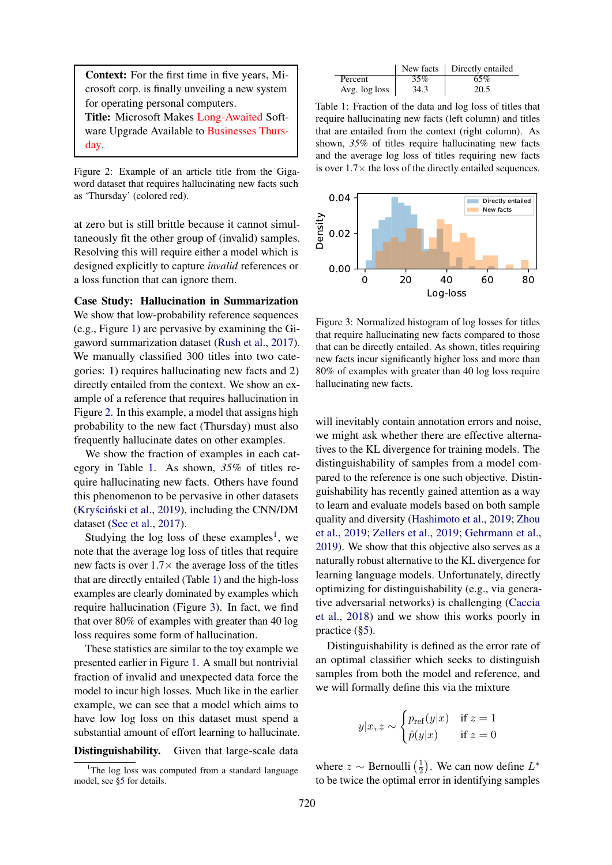<span id="page-2-0"></span>Context: For the first time in five years, Microsoft corp. is finally unveiling a new system for operating personal computers.

Title: Microsoft Makes Long-Awaited Software Upgrade Available to Businesses Thursday.

Figure 2: Example of an article title from the Gigaword dataset that requires hallucinating new facts such as 'Thursday' (colored red).

at zero but is still brittle because it cannot simultaneously fit the other group of (invalid) samples. Resolving this will require either a model which is designed explicitly to capture *invalid* references or a loss function that can ignore them.

Case Study: Hallucination in Summarization We show that low-probability reference sequences (e.g., Figure [1\)](#page-1-2) are pervasive by examining the Gigaword summarization dataset [\(Rush et al.,](#page-10-6) [2017\)](#page-10-6). We manually classified 300 titles into two categories: 1) requires hallucinating new facts and 2) directly entailed from the context. We show an example of a reference that requires hallucination in Figure [2.](#page-2-0) In this example, a model that assigns high probability to the new fact (Thursday) must also frequently hallucinate dates on other examples.

We show the fraction of examples in each category in Table [1.](#page-2-1) As shown, *35%* of titles require hallucinating new facts. Others have found this phenomenon to be pervasive in other datasets (Kryściński et al., [2019\)](#page-9-7), including the CNN/DM dataset [\(See et al.,](#page-10-7) [2017\)](#page-10-7).

Studying the log loss of these examples<sup>[1](#page-2-2)</sup>, we note that the average log loss of titles that require new facts is over  $1.7 \times$  the average loss of the titles that are directly entailed (Table [1\)](#page-2-1) and the high-loss examples are clearly dominated by examples which require hallucination (Figure [3\)](#page-2-3). In fact, we find that over 80% of examples with greater than 40 log loss requires some form of hallucination.

These statistics are similar to the toy example we presented earlier in Figure [1.](#page-1-2) A small but nontrivial fraction of invalid and unexpected data force the model to incur high losses. Much like in the earlier example, we can see that a model which aims to have low log loss on this dataset must spend a substantial amount of effort learning to hallucinate.

#### Distinguishability. Given that large-scale data

<span id="page-2-1"></span>

|               |      | New facts   Directly entailed |
|---------------|------|-------------------------------|
| Percent       | 35%  | 65%                           |
| Avg. log loss | 34.3 | 20.5                          |

Table 1: Fraction of the data and log loss of titles that require hallucinating new facts (left column) and titles that are entailed from the context (right column). As shown, *35%* of titles require hallucinating new facts and the average log loss of titles requiring new facts is over  $1.7\times$  the loss of the directly entailed sequences.

<span id="page-2-3"></span>

Figure 3: Normalized histogram of log losses for titles that require hallucinating new facts compared to those that can be directly entailed. As shown, titles requiring new facts incur significantly higher loss and more than 80% of examples with greater than 40 log loss require hallucinating new facts.

will inevitably contain annotation errors and noise, we might ask whether there are effective alternatives to the KL divergence for training models. The distinguishability of samples from a model compared to the reference is one such objective. Distinguishability has recently gained attention as a way to learn and evaluate models based on both sample quality and diversity [\(Hashimoto et al.,](#page-9-4) [2019;](#page-9-4) [Zhou](#page-10-8) [et al.,](#page-10-8) [2019;](#page-10-8) [Zellers et al.,](#page-10-9) [2019;](#page-10-9) [Gehrmann et al.,](#page-9-8) [2019\)](#page-9-8). We show that this objective also serves as a naturally robust alternative to the KL divergence for learning language models. Unfortunately, directly optimizing for distinguishability (e.g., via generative adversarial networks) is challenging [\(Caccia](#page-9-6) [et al.,](#page-9-6) [2018\)](#page-9-6) and we show this works poorly in practice ([§5\)](#page-5-0).

Distinguishability is defined as the error rate of an optimal classifier which seeks to distinguish samples from both the model and reference, and we will formally define this via the mixture

$$
y|x, z \sim \begin{cases} p_{\text{ref}}(y|x) & \text{if } z = 1\\ \hat{p}(y|x) & \text{if } z = 0 \end{cases}
$$

where  $z \sim$  Bernoulli  $\left(\frac{1}{2}\right)$  $(\frac{1}{2})$ . We can now define  $L^*$ to be twice the optimal error in identifying samples

<span id="page-2-2"></span><sup>&</sup>lt;sup>1</sup>The log loss was computed from a standard language model, see [§5](#page-5-0) for details.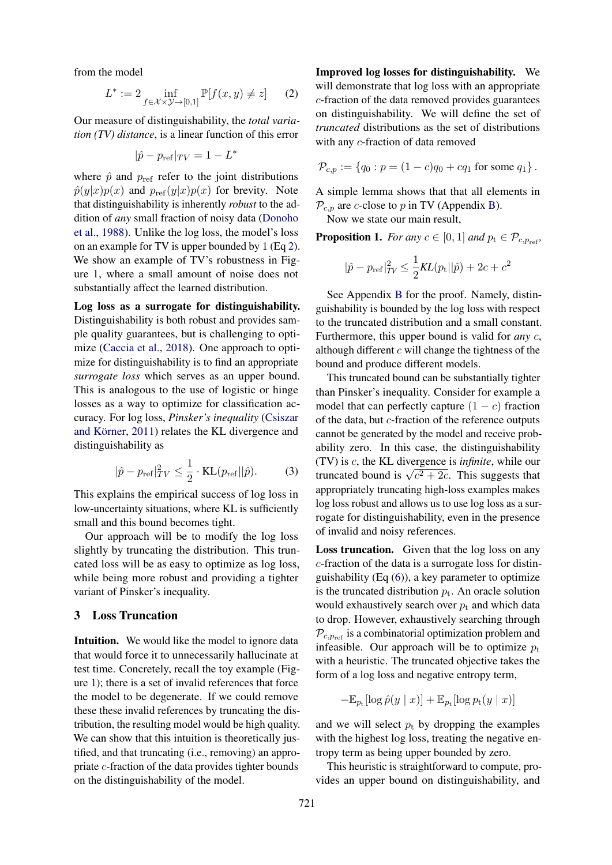from the model

<span id="page-3-0"></span>
$$
L^* := 2 \inf_{f \in \mathcal{X} \times \mathcal{Y} \to [0,1]} \mathbb{P}[f(x,y) \neq z] \qquad (2)
$$

Our measure of distinguishability, the *total variation (TV) distance*, is a linear function of this error

$$
|\hat{p} - p_{\text{ref}}|_{TV} = 1 - L^*
$$

where  $\hat{p}$  and  $p_{ref}$  refer to the joint distributions  $\hat{p}(y|x)p(x)$  and  $p_{ref}(y|x)p(x)$  for brevity. Note that distinguishability is inherently *robust* to the addition of *any* small fraction of noisy data [\(Donoho](#page-9-9) [et al.,](#page-9-9) [1988\)](#page-9-9). Unlike the log loss, the model's loss on an example for TV is upper bounded by 1 (Eq [2\)](#page-3-0). We show an example of TV's robustness in Figure [1,](#page-1-2) where a small amount of noise does not substantially affect the learned distribution.

Log loss as a surrogate for distinguishability. Distinguishability is both robust and provides sample quality guarantees, but is challenging to optimize [\(Caccia et al.,](#page-9-6) [2018\)](#page-9-6). One approach to optimize for distinguishability is to find an appropriate *surrogate loss* which serves as an upper bound. This is analogous to the use of logistic or hinge losses as a way to optimize for classification accuracy. For log loss, *Pinsker's inequality* [\(Csiszar](#page-9-10) and Körner, [2011\)](#page-9-10) relates the KL divergence and distinguishability as

$$
|\hat{p} - p_{\text{ref}}|_{TV}^2 \le \frac{1}{2} \cdot \text{KL}(p_{\text{ref}} || \hat{p}). \tag{3}
$$

This explains the empirical success of log loss in low-uncertainty situations, where KL is sufficiently small and this bound becomes tight.

Our approach will be to modify the log loss slightly by truncating the distribution. This truncated loss will be as easy to optimize as log loss, while being more robust and providing a tighter variant of Pinsker's inequality.

## 3 Loss Truncation

Intuition. We would like the model to ignore data that would force it to unnecessarily hallucinate at test time. Concretely, recall the toy example (Figure [1\)](#page-1-2); there is a set of invalid references that force the model to be degenerate. If we could remove these these invalid references by truncating the distribution, the resulting model would be high quality. We can show that this intuition is theoretically justified, and that truncating (i.e., removing) an appropriate c-fraction of the data provides tighter bounds on the distinguishability of the model.

Improved log losses for distinguishability. We will demonstrate that log loss with an appropriate c-fraction of the data removed provides guarantees on distinguishability. We will define the set of *truncated* distributions as the set of distributions with any c-fraction of data removed

$$
\mathcal{P}_{c,p} := \{ q_0 : p = (1-c)q_0 + cq_1 \text{ for some } q_1 \}.
$$

A simple lemma shows that that all elements in  $\mathcal{P}_{c,p}$  are c-close to p in TV (Appendix [B\)](#page-11-0).

Now we state our main result,

**Proposition 1.** *For any*  $c \in [0, 1]$  *and*  $p_t \in \mathcal{P}_{c, p_{ref}}$ *,* 

$$
|\hat{p} - p_{\text{ref}}|_{TV}^2 \le \frac{1}{2}KL(p_{\text{t}}||\hat{p}) + 2c + c^2
$$

See Appendix [B](#page-11-0) for the proof. Namely, distinguishability is bounded by the log loss with respect to the truncated distribution and a small constant. Furthermore, this upper bound is valid for *any* c, although different  $c$  will change the tightness of the bound and produce different models.

This truncated bound can be substantially tighter than Pinsker's inequality. Consider for example a model that can perfectly capture  $(1 - c)$  fraction of the data, but c-fraction of the reference outputs cannot be generated by the model and receive probability zero. In this case, the distinguishability (TV) is c, the KL divergence is *infinite*, while our (1 v) is c, the KL divergence is *injunite*, while our truncated bound is  $\sqrt{c^2 + 2c}$ . This suggests that appropriately truncating high-loss examples makes log loss robust and allows us to use log loss as a surrogate for distinguishability, even in the presence of invalid and noisy references.

Loss truncation. Given that the log loss on any c-fraction of the data is a surrogate loss for distinguishability (Eq [\(6\)](#page-11-1)), a key parameter to optimize is the truncated distribution  $p_t$ . An oracle solution would exhaustively search over  $p_t$  and which data to drop. However, exhaustively searching through  $P_{c,p_{ref}}$  is a combinatorial optimization problem and infeasible. Our approach will be to optimize  $p_t$ with a heuristic. The truncated objective takes the form of a log loss and negative entropy term,

$$
-\mathbb{E}_{p_{\text{t}}}[\log \hat{p}(y \mid x)] + \mathbb{E}_{p_{\text{t}}}[\log p_{\text{t}}(y \mid x)]
$$

and we will select  $p_t$  by dropping the examples with the highest log loss, treating the negative entropy term as being upper bounded by zero.

This heuristic is straightforward to compute, provides an upper bound on distinguishability, and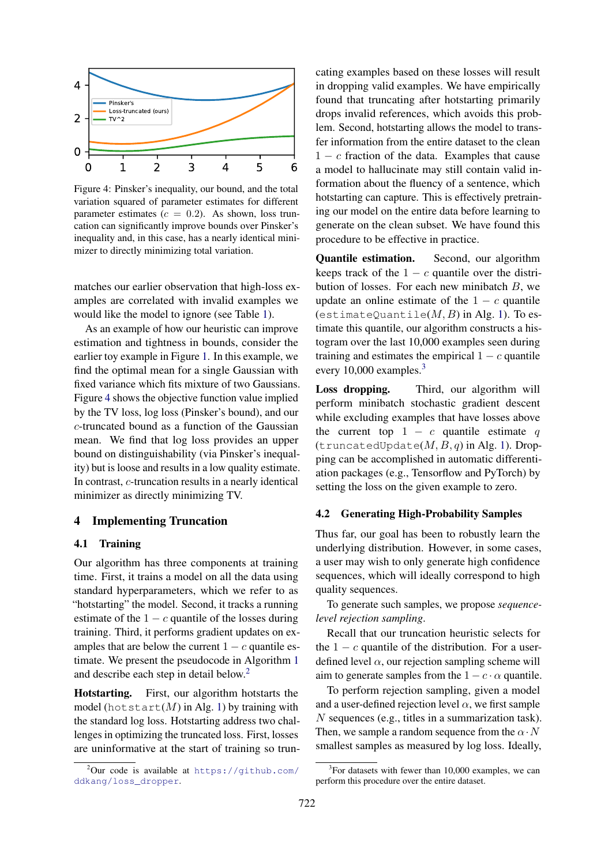<span id="page-4-0"></span>

Figure 4: Pinsker's inequality, our bound, and the total variation squared of parameter estimates for different parameter estimates ( $c = 0.2$ ). As shown, loss truncation can significantly improve bounds over Pinsker's inequality and, in this case, has a nearly identical minimizer to directly minimizing total variation.

matches our earlier observation that high-loss examples are correlated with invalid examples we would like the model to ignore (see Table [1\)](#page-2-1).

As an example of how our heuristic can improve estimation and tightness in bounds, consider the earlier toy example in Figure [1.](#page-1-2) In this example, we find the optimal mean for a single Gaussian with fixed variance which fits mixture of two Gaussians. Figure [4](#page-4-0) shows the objective function value implied by the TV loss, log loss (Pinsker's bound), and our c-truncated bound as a function of the Gaussian mean. We find that log loss provides an upper bound on distinguishability (via Pinsker's inequality) but is loose and results in a low quality estimate. In contrast, c-truncation results in a nearly identical minimizer as directly minimizing TV.

## 4 Implementing Truncation

### 4.1 Training

Our algorithm has three components at training time. First, it trains a model on all the data using standard hyperparameters, which we refer to as "hotstarting" the model. Second, it tracks a running estimate of the  $1 - c$  quantile of the losses during training. Third, it performs gradient updates on examples that are below the current  $1 - c$  quantile estimate. We present the pseudocode in Algorithm [1](#page-5-1) and describe each step in detail below.[2](#page-4-1)

Hotstarting. First, our algorithm hotstarts the model (hot start(M) in Alg. [1\)](#page-5-1) by training with the standard log loss. Hotstarting address two challenges in optimizing the truncated loss. First, losses are uninformative at the start of training so truncating examples based on these losses will result in dropping valid examples. We have empirically found that truncating after hotstarting primarily drops invalid references, which avoids this problem. Second, hotstarting allows the model to transfer information from the entire dataset to the clean  $1 - c$  fraction of the data. Examples that cause a model to hallucinate may still contain valid information about the fluency of a sentence, which hotstarting can capture. This is effectively pretraining our model on the entire data before learning to generate on the clean subset. We have found this procedure to be effective in practice.

Quantile estimation. Second, our algorithm keeps track of the  $1 - c$  quantile over the distribution of losses. For each new minibatch  $B$ , we update an online estimate of the  $1 - c$  quantile (estimateQuantile( $M, B$ ) in Alg. [1\)](#page-5-1). To estimate this quantile, our algorithm constructs a histogram over the last 10,000 examples seen during training and estimates the empirical  $1 - c$  quantile every 10,000 examples.<sup>[3](#page-4-2)</sup>

Loss dropping. Third, our algorithm will perform minibatch stochastic gradient descent while excluding examples that have losses above the current top  $1 - c$  quantile estimate q (truncatedUpdate $(M, B, q)$  in Alg. [1\)](#page-5-1). Dropping can be accomplished in automatic differentiation packages (e.g., Tensorflow and PyTorch) by setting the loss on the given example to zero.

### 4.2 Generating High-Probability Samples

Thus far, our goal has been to robustly learn the underlying distribution. However, in some cases, a user may wish to only generate high confidence sequences, which will ideally correspond to high quality sequences.

To generate such samples, we propose *sequencelevel rejection sampling*.

Recall that our truncation heuristic selects for the  $1 - c$  quantile of the distribution. For a userdefined level  $\alpha$ , our rejection sampling scheme will aim to generate samples from the  $1 - c \cdot \alpha$  quantile.

To perform rejection sampling, given a model and a user-defined rejection level  $\alpha$ , we first sample N sequences (e.g., titles in a summarization task). Then, we sample a random sequence from the  $\alpha \cdot N$ smallest samples as measured by log loss. Ideally,

<span id="page-4-1"></span> $^{2}$ Our code is available at [https://github.com/](https://github.com/ddkang/loss_dropper) [ddkang/loss\\_dropper](https://github.com/ddkang/loss_dropper).

<span id="page-4-2"></span><sup>&</sup>lt;sup>3</sup>For datasets with fewer than 10,000 examples, we can perform this procedure over the entire dataset.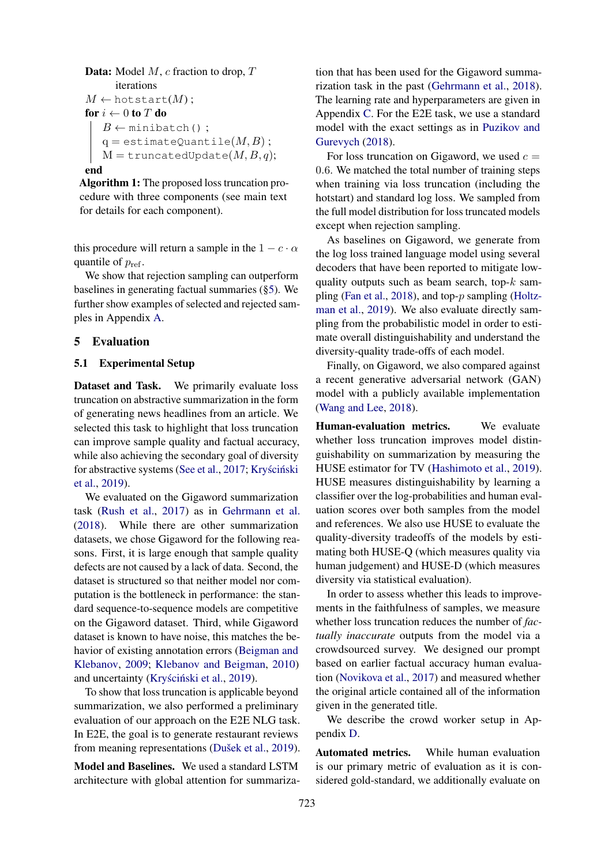```
Data: Model M, c fraction to drop, Titerations
M \leftarrow \text{hotstart}(M);
for i \leftarrow 0 to T do
   B \leftarrow minibatch();
   q = estimateQuantile(M, B);
   M =truncatedUpdate(M, B, q);
```
#### end

<span id="page-5-1"></span>Algorithm 1: The proposed loss truncation procedure with three components (see main text for details for each component).

this procedure will return a sample in the  $1 - c \cdot \alpha$ quantile of  $p_{ref}$ .

We show that rejection sampling can outperform baselines in generating factual summaries ([§5\)](#page-5-0). We further show examples of selected and rejected samples in Appendix [A.](#page-11-2)

## <span id="page-5-0"></span>5 Evaluation

#### 5.1 Experimental Setup

Dataset and Task. We primarily evaluate loss truncation on abstractive summarization in the form of generating news headlines from an article. We selected this task to highlight that loss truncation can improve sample quality and factual accuracy, while also achieving the secondary goal of diversity for abstractive systems [\(See et al.,](#page-10-7) [2017;](#page-10-7) Kryściński [et al.,](#page-9-7) [2019\)](#page-9-7).

We evaluated on the Gigaword summarization task [\(Rush et al.,](#page-10-6) [2017\)](#page-10-6) as in [Gehrmann et al.](#page-9-11) [\(2018\)](#page-9-11). While there are other summarization datasets, we chose Gigaword for the following reasons. First, it is large enough that sample quality defects are not caused by a lack of data. Second, the dataset is structured so that neither model nor computation is the bottleneck in performance: the standard sequence-to-sequence models are competitive on the Gigaword dataset. Third, while Gigaword dataset is known to have noise, this matches the behavior of existing annotation errors [\(Beigman and](#page-9-12) [Klebanov,](#page-9-12) [2009;](#page-9-12) [Klebanov and Beigman,](#page-9-13) [2010\)](#page-9-13) and uncertainty (Kryściński et al., [2019\)](#page-9-7).

To show that loss truncation is applicable beyond summarization, we also performed a preliminary evaluation of our approach on the E2E NLG task. In E2E, the goal is to generate restaurant reviews from meaning representations (Dušek et al., [2019\)](#page-9-14).

Model and Baselines. We used a standard LSTM architecture with global attention for summariza-

tion that has been used for the Gigaword summarization task in the past [\(Gehrmann et al.,](#page-9-11) [2018\)](#page-9-11). The learning rate and hyperparameters are given in Appendix [C.](#page-11-3) For the E2E task, we use a standard model with the exact settings as in [Puzikov and](#page-10-10) [Gurevych](#page-10-10) [\(2018\)](#page-10-10).

For loss truncation on Gigaword, we used  $c =$ 0.6. We matched the total number of training steps when training via loss truncation (including the hotstart) and standard log loss. We sampled from the full model distribution for loss truncated models except when rejection sampling.

As baselines on Gigaword, we generate from the log loss trained language model using several decoders that have been reported to mitigate lowquality outputs such as beam search, top- $k$  sampling [\(Fan et al.,](#page-9-2) [2018\)](#page-9-2), and top-p sampling [\(Holtz](#page-9-3)[man et al.,](#page-9-3) [2019\)](#page-9-3). We also evaluate directly sampling from the probabilistic model in order to estimate overall distinguishability and understand the diversity-quality trade-offs of each model.

Finally, on Gigaword, we also compared against a recent generative adversarial network (GAN) model with a publicly available implementation [\(Wang and Lee,](#page-10-11) [2018\)](#page-10-11).

Human-evaluation metrics. We evaluate whether loss truncation improves model distinguishability on summarization by measuring the HUSE estimator for TV [\(Hashimoto et al.,](#page-9-4) [2019\)](#page-9-4). HUSE measures distinguishability by learning a classifier over the log-probabilities and human evaluation scores over both samples from the model and references. We also use HUSE to evaluate the quality-diversity tradeoffs of the models by estimating both HUSE-Q (which measures quality via human judgement) and HUSE-D (which measures diversity via statistical evaluation).

In order to assess whether this leads to improvements in the faithfulness of samples, we measure whether loss truncation reduces the number of *factually inaccurate* outputs from the model via a crowdsourced survey. We designed our prompt based on earlier factual accuracy human evaluation [\(Novikova et al.,](#page-10-12) [2017\)](#page-10-12) and measured whether the original article contained all of the information given in the generated title.

We describe the crowd worker setup in Appendix [D.](#page-12-0)

Automated metrics. While human evaluation is our primary metric of evaluation as it is considered gold-standard, we additionally evaluate on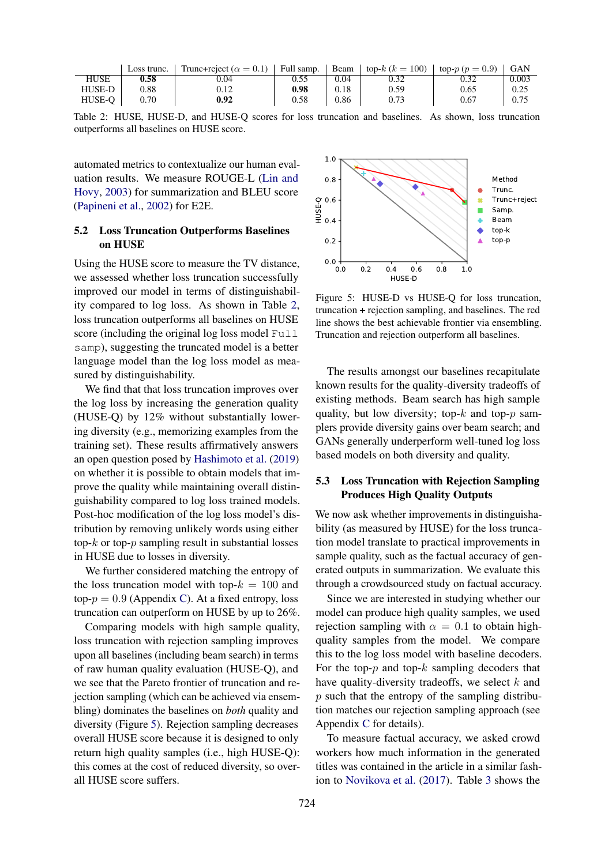<span id="page-6-0"></span>

|        | Loss trunc. | Trunc+reject ( $\alpha = 0.1$ ) | <sup>1</sup> Full samp. | ' Beam | top- $k (k = 100)$ | $\log p(p=0.9)$ | <b>GAN</b> |
|--------|-------------|---------------------------------|-------------------------|--------|--------------------|-----------------|------------|
| HUSE   | 0.58        | 0.04                            | 0.55                    | 0.04   | 0.32               |                 | 0.003      |
| HUSE-D | 0.88        | 0.12                            | 0.98                    | 0.18   | 0.59               | 0.65            | 0.25       |
| HUSE-O | 0.70        | 0.92                            | 0.58                    | 0.86   |                    | 0.67            | 0.75       |

Table 2: HUSE, HUSE-D, and HUSE-Q scores for loss truncation and baselines. As shown, loss truncation outperforms all baselines on HUSE score.

automated metrics to contextualize our human evaluation results. We measure ROUGE-L [\(Lin and](#page-10-13) [Hovy,](#page-10-13) [2003\)](#page-10-13) for summarization and BLEU score [\(Papineni et al.,](#page-10-14) [2002\)](#page-10-14) for E2E.

## 5.2 Loss Truncation Outperforms Baselines on HUSE

Using the HUSE score to measure the TV distance, we assessed whether loss truncation successfully improved our model in terms of distinguishability compared to log loss. As shown in Table [2,](#page-6-0) loss truncation outperforms all baselines on HUSE score (including the original log loss model Full samp), suggesting the truncated model is a better language model than the log loss model as measured by distinguishability.

We find that that loss truncation improves over the log loss by increasing the generation quality (HUSE-Q) by 12% without substantially lowering diversity (e.g., memorizing examples from the training set). These results affirmatively answers an open question posed by [Hashimoto et al.](#page-9-4) [\(2019\)](#page-9-4) on whether it is possible to obtain models that improve the quality while maintaining overall distinguishability compared to log loss trained models. Post-hoc modification of the log loss model's distribution by removing unlikely words using either top- $k$  or top- $p$  sampling result in substantial losses in HUSE due to losses in diversity.

We further considered matching the entropy of the loss truncation model with top- $k = 100$  and top- $p = 0.9$  (Appendix [C\)](#page-11-3). At a fixed entropy, loss truncation can outperform on HUSE by up to 26%.

Comparing models with high sample quality, loss truncation with rejection sampling improves upon all baselines (including beam search) in terms of raw human quality evaluation (HUSE-Q), and we see that the Pareto frontier of truncation and rejection sampling (which can be achieved via ensembling) dominates the baselines on *both* quality and diversity (Figure [5\)](#page-6-1). Rejection sampling decreases overall HUSE score because it is designed to only return high quality samples (i.e., high HUSE-Q): this comes at the cost of reduced diversity, so overall HUSE score suffers.

<span id="page-6-1"></span>

Figure 5: HUSE-D vs HUSE-Q for loss truncation, truncation + rejection sampling, and baselines. The red line shows the best achievable frontier via ensembling. Truncation and rejection outperform all baselines.

The results amongst our baselines recapitulate known results for the quality-diversity tradeoffs of existing methods. Beam search has high sample quality, but low diversity; top- $k$  and top- $p$  samplers provide diversity gains over beam search; and GANs generally underperform well-tuned log loss based models on both diversity and quality.

### 5.3 Loss Truncation with Rejection Sampling Produces High Quality Outputs

We now ask whether improvements in distinguishability (as measured by HUSE) for the loss truncation model translate to practical improvements in sample quality, such as the factual accuracy of generated outputs in summarization. We evaluate this through a crowdsourced study on factual accuracy.

Since we are interested in studying whether our model can produce high quality samples, we used rejection sampling with  $\alpha = 0.1$  to obtain highquality samples from the model. We compare this to the log loss model with baseline decoders. For the top- $p$  and top- $k$  sampling decoders that have quality-diversity tradeoffs, we select  $k$  and  $p$  such that the entropy of the sampling distribution matches our rejection sampling approach (see Appendix [C](#page-11-3) for details).

To measure factual accuracy, we asked crowd workers how much information in the generated titles was contained in the article in a similar fashion to [Novikova et al.](#page-10-12) [\(2017\)](#page-10-12). Table [3](#page-7-1) shows the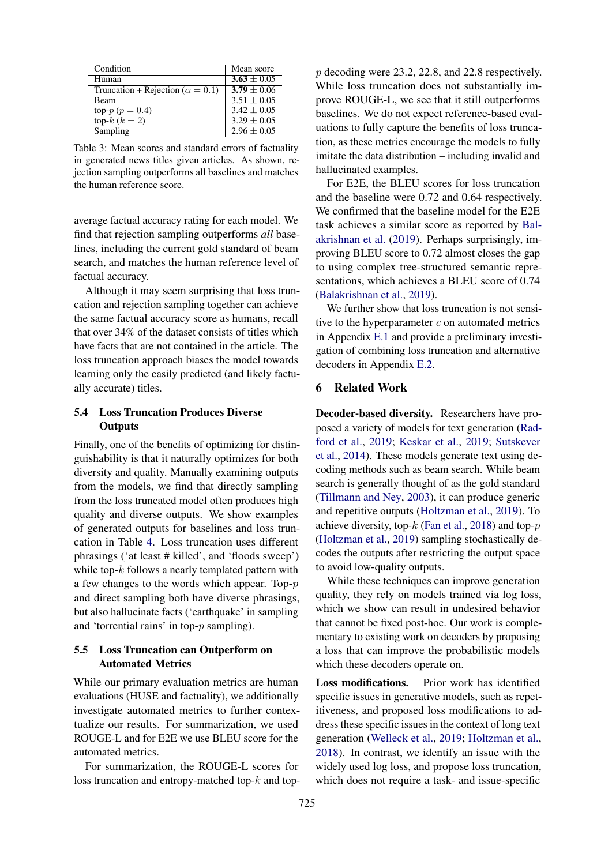<span id="page-7-1"></span>

| Condition                                 | Mean score      |
|-------------------------------------------|-----------------|
| Human                                     | $3.63 \pm 0.05$ |
| Truncation + Rejection ( $\alpha = 0.1$ ) | $3.79 \pm 0.06$ |
| Beam                                      | $3.51 \pm 0.05$ |
| top- $p (p = 0.4)$                        | $3.42 \pm 0.05$ |
| top- $k (k = 2)$                          | $3.29 \pm 0.05$ |
| Sampling                                  | $2.96 \pm 0.05$ |

Table 3: Mean scores and standard errors of factuality in generated news titles given articles. As shown, rejection sampling outperforms all baselines and matches the human reference score.

average factual accuracy rating for each model. We find that rejection sampling outperforms *all* baselines, including the current gold standard of beam search, and matches the human reference level of factual accuracy.

Although it may seem surprising that loss truncation and rejection sampling together can achieve the same factual accuracy score as humans, recall that over 34% of the dataset consists of titles which have facts that are not contained in the article. The loss truncation approach biases the model towards learning only the easily predicted (and likely factually accurate) titles.

## 5.4 Loss Truncation Produces Diverse **Outputs**

Finally, one of the benefits of optimizing for distinguishability is that it naturally optimizes for both diversity and quality. Manually examining outputs from the models, we find that directly sampling from the loss truncated model often produces high quality and diverse outputs. We show examples of generated outputs for baselines and loss truncation in Table [4.](#page-8-0) Loss truncation uses different phrasings ('at least # killed', and 'floods sweep') while top- $k$  follows a nearly templated pattern with a few changes to the words which appear. Top-p and direct sampling both have diverse phrasings, but also hallucinate facts ('earthquake' in sampling and 'torrential rains' in top-p sampling).

## 5.5 Loss Truncation can Outperform on Automated Metrics

While our primary evaluation metrics are human evaluations (HUSE and factuality), we additionally investigate automated metrics to further contextualize our results. For summarization, we used ROUGE-L and for E2E we use BLEU score for the automated metrics.

For summarization, the ROUGE-L scores for loss truncation and entropy-matched top- $k$  and top-

p decoding were 23.2, 22.8, and 22.8 respectively. While loss truncation does not substantially improve ROUGE-L, we see that it still outperforms baselines. We do not expect reference-based evaluations to fully capture the benefits of loss truncation, as these metrics encourage the models to fully imitate the data distribution – including invalid and hallucinated examples.

For E2E, the BLEU scores for loss truncation and the baseline were 0.72 and 0.64 respectively. We confirmed that the baseline model for the E2E task achieves a similar score as reported by [Bal](#page-9-15)[akrishnan et al.](#page-9-15) [\(2019\)](#page-9-15). Perhaps surprisingly, improving BLEU score to 0.72 almost closes the gap to using complex tree-structured semantic representations, which achieves a BLEU score of 0.74 [\(Balakrishnan et al.,](#page-9-15) [2019\)](#page-9-15).

We further show that loss truncation is not sensitive to the hyperparameter  $c$  on automated metrics in Appendix [E.1](#page-12-1) and provide a preliminary investigation of combining loss truncation and alternative decoders in Appendix [E.2.](#page-12-2)

## <span id="page-7-0"></span>6 Related Work

Decoder-based diversity. Researchers have proposed a variety of models for text generation [\(Rad](#page-10-15)[ford et al.,](#page-10-15) [2019;](#page-10-15) [Keskar et al.,](#page-9-16) [2019;](#page-9-16) [Sutskever](#page-10-16) [et al.,](#page-10-16) [2014\)](#page-10-16). These models generate text using decoding methods such as beam search. While beam search is generally thought of as the gold standard [\(Tillmann and Ney,](#page-10-17) [2003\)](#page-10-17), it can produce generic and repetitive outputs [\(Holtzman et al.,](#page-9-3) [2019\)](#page-9-3). To achieve diversity, top- $k$  [\(Fan et al.,](#page-9-2) [2018\)](#page-9-2) and top- $p$ [\(Holtzman et al.,](#page-9-3) [2019\)](#page-9-3) sampling stochastically decodes the outputs after restricting the output space to avoid low-quality outputs.

While these techniques can improve generation quality, they rely on models trained via log loss, which we show can result in undesired behavior that cannot be fixed post-hoc. Our work is complementary to existing work on decoders by proposing a loss that can improve the probabilistic models which these decoders operate on.

Loss modifications. Prior work has identified specific issues in generative models, such as repetitiveness, and proposed loss modifications to address these specific issues in the context of long text generation [\(Welleck et al.,](#page-10-18) [2019;](#page-10-18) [Holtzman et al.,](#page-9-17) [2018\)](#page-9-17). In contrast, we identify an issue with the widely used log loss, and propose loss truncation, which does not require a task- and issue-specific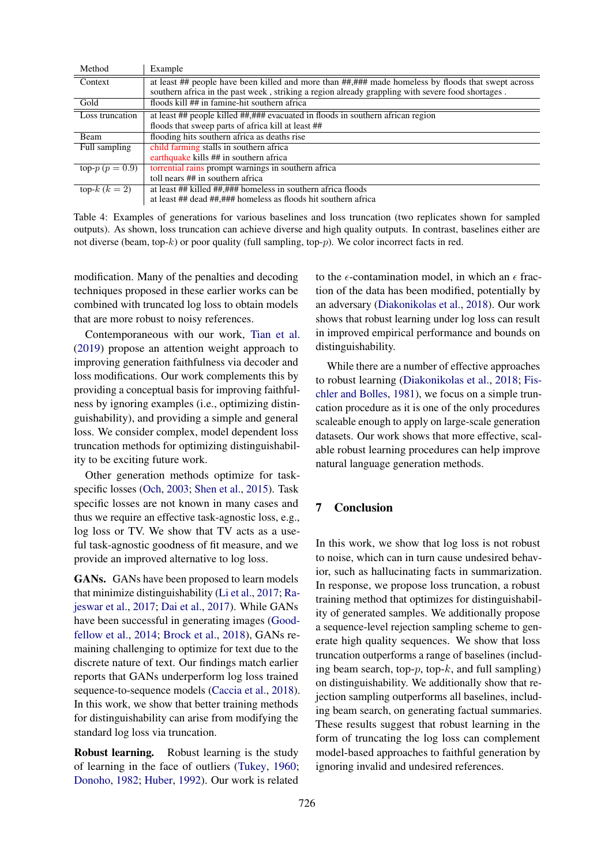<span id="page-8-0"></span>

| Method             | Example                                                                                            |
|--------------------|----------------------------------------------------------------------------------------------------|
| Context            | at least ## people have been killed and more than ##,### made homeless by floods that swept across |
|                    | southern africa in the past week, striking a region already grappling with severe food shortages.  |
| Gold               | floods kill ## in famine-hit southern africa                                                       |
| Loss truncation    | at least ## people killed ##,### evacuated in floods in southern african region                    |
|                    | floods that sweep parts of africa kill at least ##                                                 |
| Beam               | flooding hits southern africa as deaths rise                                                       |
| Full sampling      | child farming stalls in southern africa                                                            |
|                    | earthquake kills ## in southern africa                                                             |
| top- $p (p = 0.9)$ | torrential rains prompt warnings in southern africa                                                |
|                    | toll nears ## in southern africa                                                                   |
| top- $k (k = 2)$   | at least ## killed ##,### homeless in southern africa floods                                       |
|                    | at least ## dead ##,### homeless as floods hit southern africa                                     |

Table 4: Examples of generations for various baselines and loss truncation (two replicates shown for sampled outputs). As shown, loss truncation can achieve diverse and high quality outputs. In contrast, baselines either are not diverse (beam, top- $k$ ) or poor quality (full sampling, top- $p$ ). We color incorrect facts in red.

modification. Many of the penalties and decoding techniques proposed in these earlier works can be combined with truncated log loss to obtain models that are more robust to noisy references.

Contemporaneous with our work, [Tian et al.](#page-10-4) [\(2019\)](#page-10-4) propose an attention weight approach to improving generation faithfulness via decoder and loss modifications. Our work complements this by providing a conceptual basis for improving faithfulness by ignoring examples (i.e., optimizing distinguishability), and providing a simple and general loss. We consider complex, model dependent loss truncation methods for optimizing distinguishability to be exciting future work.

Other generation methods optimize for taskspecific losses [\(Och,](#page-10-19) [2003;](#page-10-19) [Shen et al.,](#page-10-20) [2015\)](#page-10-20). Task specific losses are not known in many cases and thus we require an effective task-agnostic loss, e.g., log loss or TV. We show that TV acts as a useful task-agnostic goodness of fit measure, and we provide an improved alternative to log loss.

GANs. GANs have been proposed to learn models that minimize distinguishability [\(Li et al.,](#page-10-21) [2017;](#page-10-21) [Ra](#page-10-22)[jeswar et al.,](#page-10-22) [2017;](#page-10-22) [Dai et al.,](#page-9-18) [2017\)](#page-9-18). While GANs have been successful in generating images [\(Good](#page-9-19)[fellow et al.,](#page-9-19) [2014;](#page-9-19) [Brock et al.,](#page-9-20) [2018\)](#page-9-20), GANs remaining challenging to optimize for text due to the discrete nature of text. Our findings match earlier reports that GANs underperform log loss trained sequence-to-sequence models [\(Caccia et al.,](#page-9-6) [2018\)](#page-9-6). In this work, we show that better training methods for distinguishability can arise from modifying the standard log loss via truncation.

Robust learning. Robust learning is the study of learning in the face of outliers [\(Tukey,](#page-10-23) [1960;](#page-10-23) [Donoho,](#page-9-21) [1982;](#page-9-21) [Huber,](#page-9-22) [1992\)](#page-9-22). Our work is related to the  $\epsilon$ -contamination model, in which an  $\epsilon$  fraction of the data has been modified, potentially by an adversary [\(Diakonikolas et al.,](#page-9-23) [2018\)](#page-9-23). Our work shows that robust learning under log loss can result in improved empirical performance and bounds on distinguishability.

While there are a number of effective approaches to robust learning [\(Diakonikolas et al.,](#page-9-23) [2018;](#page-9-23) [Fis](#page-9-24)[chler and Bolles,](#page-9-24) [1981\)](#page-9-24), we focus on a simple truncation procedure as it is one of the only procedures scaleable enough to apply on large-scale generation datasets. Our work shows that more effective, scalable robust learning procedures can help improve natural language generation methods.

## 7 Conclusion

In this work, we show that log loss is not robust to noise, which can in turn cause undesired behavior, such as hallucinating facts in summarization. In response, we propose loss truncation, a robust training method that optimizes for distinguishability of generated samples. We additionally propose a sequence-level rejection sampling scheme to generate high quality sequences. We show that loss truncation outperforms a range of baselines (including beam search, top- $p$ , top- $k$ , and full sampling) on distinguishability. We additionally show that rejection sampling outperforms all baselines, including beam search, on generating factual summaries. These results suggest that robust learning in the form of truncating the log loss can complement model-based approaches to faithful generation by ignoring invalid and undesired references.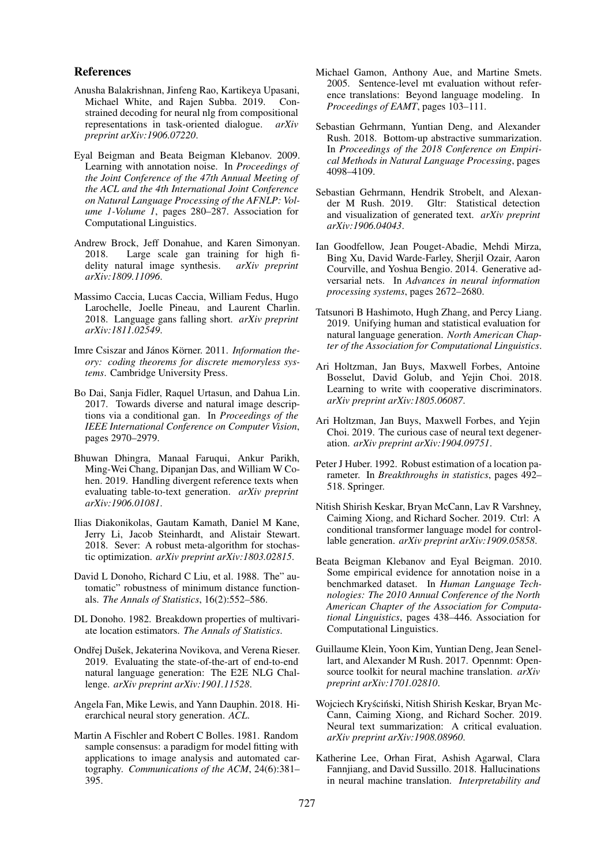#### References

- <span id="page-9-15"></span>Anusha Balakrishnan, Jinfeng Rao, Kartikeya Upasani, Michael White, and Rajen Subba. 2019. Constrained decoding for neural nlg from compositional representations in task-oriented dialogue. *arXiv preprint arXiv:1906.07220*.
- <span id="page-9-12"></span>Eyal Beigman and Beata Beigman Klebanov. 2009. Learning with annotation noise. In *Proceedings of the Joint Conference of the 47th Annual Meeting of the ACL and the 4th International Joint Conference on Natural Language Processing of the AFNLP: Volume 1-Volume 1*, pages 280–287. Association for Computational Linguistics.
- <span id="page-9-20"></span>Andrew Brock, Jeff Donahue, and Karen Simonyan.<br>2018. Large scale gan training for high fi-Large scale gan training for high fidelity natural image synthesis. *arXiv preprint arXiv:1809.11096*.
- <span id="page-9-6"></span>Massimo Caccia, Lucas Caccia, William Fedus, Hugo Larochelle, Joelle Pineau, and Laurent Charlin. 2018. Language gans falling short. *arXiv preprint arXiv:1811.02549*.
- <span id="page-9-10"></span>Imre Csiszar and János Körner. 2011. *Information theory: coding theorems for discrete memoryless systems*. Cambridge University Press.
- <span id="page-9-18"></span>Bo Dai, Sanja Fidler, Raquel Urtasun, and Dahua Lin. 2017. Towards diverse and natural image descriptions via a conditional gan. In *Proceedings of the IEEE International Conference on Computer Vision*, pages 2970–2979.
- <span id="page-9-0"></span>Bhuwan Dhingra, Manaal Faruqui, Ankur Parikh, Ming-Wei Chang, Dipanjan Das, and William W Cohen. 2019. Handling divergent reference texts when evaluating table-to-text generation. *arXiv preprint arXiv:1906.01081*.
- <span id="page-9-23"></span>Ilias Diakonikolas, Gautam Kamath, Daniel M Kane, Jerry Li, Jacob Steinhardt, and Alistair Stewart. 2018. Sever: A robust meta-algorithm for stochastic optimization. *arXiv preprint arXiv:1803.02815*.
- <span id="page-9-9"></span>David L Donoho, Richard C Liu, et al. 1988. The" automatic" robustness of minimum distance functionals. *The Annals of Statistics*, 16(2):552–586.
- <span id="page-9-21"></span>DL Donoho. 1982. Breakdown properties of multivariate location estimators. *The Annals of Statistics*.
- <span id="page-9-14"></span>Ondřej Dušek, Jekaterina Novikova, and Verena Rieser. 2019. Evaluating the state-of-the-art of end-to-end natural language generation: The E2E NLG Challenge. *arXiv preprint arXiv:1901.11528*.
- <span id="page-9-2"></span>Angela Fan, Mike Lewis, and Yann Dauphin. 2018. Hierarchical neural story generation. *ACL*.
- <span id="page-9-24"></span>Martin A Fischler and Robert C Bolles. 1981. Random sample consensus: a paradigm for model fitting with applications to image analysis and automated cartography. *Communications of the ACM*, 24(6):381– 395.
- <span id="page-9-5"></span>Michael Gamon, Anthony Aue, and Martine Smets. 2005. Sentence-level mt evaluation without reference translations: Beyond language modeling. In *Proceedings of EAMT*, pages 103–111.
- <span id="page-9-11"></span>Sebastian Gehrmann, Yuntian Deng, and Alexander Rush. 2018. Bottom-up abstractive summarization. In *Proceedings of the 2018 Conference on Empirical Methods in Natural Language Processing*, pages 4098–4109.
- <span id="page-9-8"></span>Sebastian Gehrmann, Hendrik Strobelt, and Alexander M Rush. 2019. Gltr: Statistical detection and visualization of generated text. *arXiv preprint arXiv:1906.04043*.
- <span id="page-9-19"></span>Ian Goodfellow, Jean Pouget-Abadie, Mehdi Mirza, Bing Xu, David Warde-Farley, Sherjil Ozair, Aaron Courville, and Yoshua Bengio. 2014. Generative adversarial nets. In *Advances in neural information processing systems*, pages 2672–2680.
- <span id="page-9-4"></span>Tatsunori B Hashimoto, Hugh Zhang, and Percy Liang. 2019. Unifying human and statistical evaluation for natural language generation. *North American Chapter of the Association for Computational Linguistics*.
- <span id="page-9-17"></span>Ari Holtzman, Jan Buys, Maxwell Forbes, Antoine Bosselut, David Golub, and Yejin Choi. 2018. Learning to write with cooperative discriminators. *arXiv preprint arXiv:1805.06087*.
- <span id="page-9-3"></span>Ari Holtzman, Jan Buys, Maxwell Forbes, and Yejin Choi. 2019. The curious case of neural text degeneration. *arXiv preprint arXiv:1904.09751*.
- <span id="page-9-22"></span>Peter J Huber. 1992. Robust estimation of a location parameter. In *Breakthroughs in statistics*, pages 492– 518. Springer.
- <span id="page-9-16"></span>Nitish Shirish Keskar, Bryan McCann, Lav R Varshney, Caiming Xiong, and Richard Socher. 2019. Ctrl: A conditional transformer language model for controllable generation. *arXiv preprint arXiv:1909.05858*.
- <span id="page-9-13"></span>Beata Beigman Klebanov and Eyal Beigman. 2010. Some empirical evidence for annotation noise in a benchmarked dataset. In *Human Language Technologies: The 2010 Annual Conference of the North American Chapter of the Association for Computational Linguistics*, pages 438–446. Association for Computational Linguistics.
- <span id="page-9-25"></span>Guillaume Klein, Yoon Kim, Yuntian Deng, Jean Senellart, and Alexander M Rush. 2017. Opennmt: Opensource toolkit for neural machine translation. *arXiv preprint arXiv:1701.02810*.
- <span id="page-9-7"></span>Wojciech Kryściński, Nitish Shirish Keskar, Bryan Mc-Cann, Caiming Xiong, and Richard Socher. 2019. Neural text summarization: A critical evaluation. *arXiv preprint arXiv:1908.08960*.
- <span id="page-9-1"></span>Katherine Lee, Orhan Firat, Ashish Agarwal, Clara Fannjiang, and David Sussillo. 2018. Hallucinations in neural machine translation. *Interpretability and*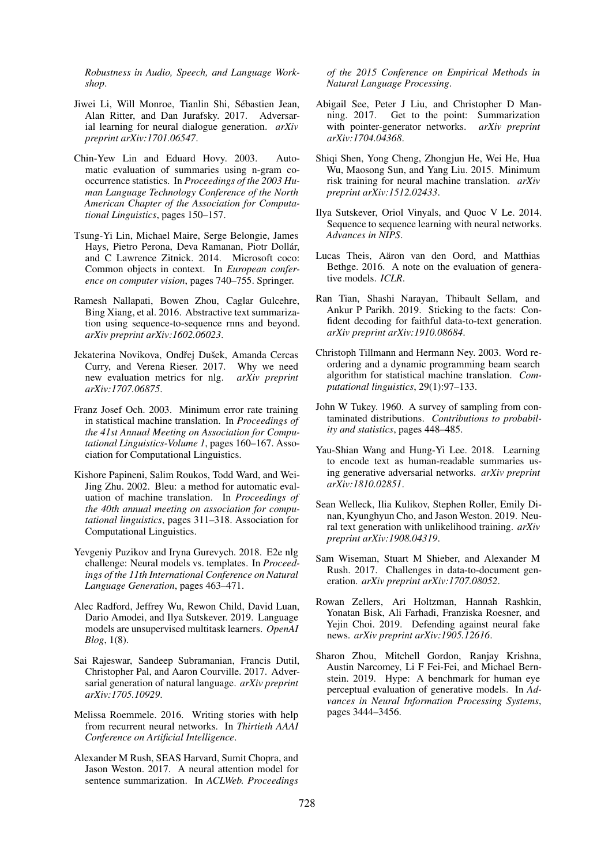*Robustness in Audio, Speech, and Language Workshop*.

- <span id="page-10-21"></span>Jiwei Li, Will Monroe, Tianlin Shi, Sebastien Jean, ´ Alan Ritter, and Dan Jurafsky. 2017. Adversarial learning for neural dialogue generation. *arXiv preprint arXiv:1701.06547*.
- <span id="page-10-13"></span>Chin-Yew Lin and Eduard Hovy. 2003. Automatic evaluation of summaries using n-gram cooccurrence statistics. In *Proceedings of the 2003 Human Language Technology Conference of the North American Chapter of the Association for Computational Linguistics*, pages 150–157.
- <span id="page-10-1"></span>Tsung-Yi Lin, Michael Maire, Serge Belongie, James Hays, Pietro Perona, Deva Ramanan, Piotr Dollár, and C Lawrence Zitnick. 2014. Microsoft coco: Common objects in context. In *European conference on computer vision*, pages 740–755. Springer.
- <span id="page-10-0"></span>Ramesh Nallapati, Bowen Zhou, Caglar Gulcehre, Bing Xiang, et al. 2016. Abstractive text summarization using sequence-to-sequence rnns and beyond. *arXiv preprint arXiv:1602.06023*.
- <span id="page-10-12"></span>Jekaterina Novikova, Ondřej Dušek, Amanda Cercas Curry, and Verena Rieser. 2017. Why we need new evaluation metrics for nlg. *arXiv preprint arXiv:1707.06875*.
- <span id="page-10-19"></span>Franz Josef Och. 2003. Minimum error rate training in statistical machine translation. In *Proceedings of the 41st Annual Meeting on Association for Computational Linguistics-Volume 1*, pages 160–167. Association for Computational Linguistics.
- <span id="page-10-14"></span>Kishore Papineni, Salim Roukos, Todd Ward, and Wei-Jing Zhu. 2002. Bleu: a method for automatic evaluation of machine translation. In *Proceedings of the 40th annual meeting on association for computational linguistics*, pages 311–318. Association for Computational Linguistics.
- <span id="page-10-10"></span>Yevgeniy Puzikov and Iryna Gurevych. 2018. E2e nlg challenge: Neural models vs. templates. In *Proceedings of the 11th International Conference on Natural Language Generation*, pages 463–471.
- <span id="page-10-15"></span>Alec Radford, Jeffrey Wu, Rewon Child, David Luan, Dario Amodei, and Ilya Sutskever. 2019. Language models are unsupervised multitask learners. *OpenAI Blog*, 1(8).
- <span id="page-10-22"></span>Sai Rajeswar, Sandeep Subramanian, Francis Dutil, Christopher Pal, and Aaron Courville. 2017. Adversarial generation of natural language. *arXiv preprint arXiv:1705.10929*.
- <span id="page-10-2"></span>Melissa Roemmele. 2016. Writing stories with help from recurrent neural networks. In *Thirtieth AAAI Conference on Artificial Intelligence*.
- <span id="page-10-6"></span>Alexander M Rush, SEAS Harvard, Sumit Chopra, and Jason Weston. 2017. A neural attention model for sentence summarization. In *ACLWeb. Proceedings*

*of the 2015 Conference on Empirical Methods in Natural Language Processing*.

- <span id="page-10-7"></span>Abigail See, Peter J Liu, and Christopher D Manning. 2017. Get to the point: Summarization with pointer-generator networks. *arXiv preprint arXiv:1704.04368*.
- <span id="page-10-20"></span>Shiqi Shen, Yong Cheng, Zhongjun He, Wei He, Hua Wu, Maosong Sun, and Yang Liu. 2015. Minimum risk training for neural machine translation. *arXiv preprint arXiv:1512.02433*.
- <span id="page-10-16"></span>Ilya Sutskever, Oriol Vinyals, and Quoc V Le. 2014. Sequence to sequence learning with neural networks. *Advances in NIPS*.
- <span id="page-10-5"></span>Lucas Theis, Aäron van den Oord, and Matthias Bethge. 2016. A note on the evaluation of generative models. *ICLR*.
- <span id="page-10-4"></span>Ran Tian, Shashi Narayan, Thibault Sellam, and Ankur P Parikh. 2019. Sticking to the facts: Confident decoding for faithful data-to-text generation. *arXiv preprint arXiv:1910.08684*.
- <span id="page-10-17"></span>Christoph Tillmann and Hermann Ney. 2003. Word reordering and a dynamic programming beam search algorithm for statistical machine translation. *Computational linguistics*, 29(1):97–133.
- <span id="page-10-23"></span>John W Tukey. 1960. A survey of sampling from contaminated distributions. *Contributions to probability and statistics*, pages 448–485.
- <span id="page-10-11"></span>Yau-Shian Wang and Hung-Yi Lee. 2018. Learning to encode text as human-readable summaries using generative adversarial networks. *arXiv preprint arXiv:1810.02851*.
- <span id="page-10-18"></span>Sean Welleck, Ilia Kulikov, Stephen Roller, Emily Dinan, Kyunghyun Cho, and Jason Weston. 2019. Neural text generation with unlikelihood training. *arXiv preprint arXiv:1908.04319*.
- <span id="page-10-3"></span>Sam Wiseman, Stuart M Shieber, and Alexander M Rush. 2017. Challenges in data-to-document generation. *arXiv preprint arXiv:1707.08052*.
- <span id="page-10-9"></span>Rowan Zellers, Ari Holtzman, Hannah Rashkin, Yonatan Bisk, Ali Farhadi, Franziska Roesner, and Yejin Choi. 2019. Defending against neural fake news. *arXiv preprint arXiv:1905.12616*.
- <span id="page-10-8"></span>Sharon Zhou, Mitchell Gordon, Ranjay Krishna, Austin Narcomey, Li F Fei-Fei, and Michael Bernstein. 2019. Hype: A benchmark for human eye perceptual evaluation of generative models. In *Advances in Neural Information Processing Systems*, pages 3444–3456.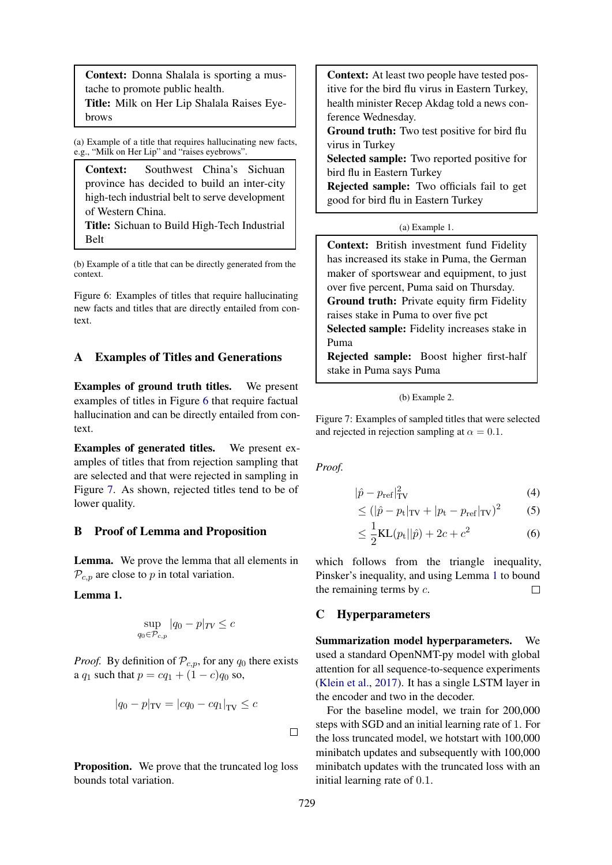<span id="page-11-4"></span>Context: Donna Shalala is sporting a mustache to promote public health.

Title: Milk on Her Lip Shalala Raises Eyebrows

(a) Example of a title that requires hallucinating new facts, e.g., "Milk on Her Lip" and "raises eyebrows".

Context: Southwest China's Sichuan province has decided to build an inter-city high-tech industrial belt to serve development of Western China.

Title: Sichuan to Build High-Tech Industrial Belt

(b) Example of a title that can be directly generated from the context.

Figure 6: Examples of titles that require hallucinating new facts and titles that are directly entailed from context.

## <span id="page-11-2"></span>A Examples of Titles and Generations

Examples of ground truth titles. We present examples of titles in Figure [6](#page-11-4) that require factual hallucination and can be directly entailed from context.

Examples of generated titles. We present examples of titles that from rejection sampling that are selected and that were rejected in sampling in Figure [7.](#page-11-5) As shown, rejected titles tend to be of lower quality.

### <span id="page-11-0"></span>B Proof of Lemma and Proposition

Lemma. We prove the lemma that all elements in  $\mathcal{P}_{c,p}$  are close to p in total variation.

<span id="page-11-6"></span>Lemma 1.

$$
\sup_{q_0 \in \mathcal{P}_{c,p}} |q_0 - p|_{TV} \le c
$$

*Proof.* By definition of  $P_{c,p}$ , for any  $q_0$  there exists a  $q_1$  such that  $p = cq_1 + (1 - c)q_0$  so,

$$
|q_0 - p|_{\text{TV}} = |cq_0 - cq_1|_{\text{TV}} \le c
$$

**Proposition.** We prove that the truncated log loss bounds total variation.

<span id="page-11-5"></span>Context: At least two people have tested positive for the bird flu virus in Eastern Turkey, health minister Recep Akdag told a news conference Wednesday.

Ground truth: Two test positive for bird flu virus in Turkey

Selected sample: Two reported positive for bird flu in Eastern Turkey

Rejected sample: Two officials fail to get good for bird flu in Eastern Turkey

#### (a) Example 1.

Context: British investment fund Fidelity has increased its stake in Puma, the German maker of sportswear and equipment, to just over five percent, Puma said on Thursday. Ground truth: Private equity firm Fidelity raises stake in Puma to over five pct Selected sample: Fidelity increases stake in Puma Rejected sample: Boost higher first-half

stake in Puma says Puma

#### (b) Example 2.

Figure 7: Examples of sampled titles that were selected and rejected in rejection sampling at  $\alpha = 0.1$ .

*Proof.*

$$
|\hat{p} - p_{\text{ref}}|_{\text{TV}}^2 \tag{4}
$$

$$
\leq (|\hat{p} - p_{\rm t}|_{\rm TV} + |p_{\rm t} - p_{\rm ref}|_{\rm TV})^2 \tag{5}
$$

<span id="page-11-1"></span>
$$
\leq \frac{1}{2}KL(p_t||\hat{p}) + 2c + c^2
$$
 (6)

which follows from the triangle inequality, Pinsker's inequality, and using Lemma [1](#page-11-6) to bound the remaining terms by  $c$ .  $\Box$ 

### <span id="page-11-3"></span>C Hyperparameters

Summarization model hyperparameters. We used a standard OpenNMT-py model with global attention for all sequence-to-sequence experiments [\(Klein et al.,](#page-9-25) [2017\)](#page-9-25). It has a single LSTM layer in the encoder and two in the decoder.

For the baseline model, we train for 200,000 steps with SGD and an initial learning rate of 1. For the loss truncated model, we hotstart with 100,000 minibatch updates and subsequently with 100,000 minibatch updates with the truncated loss with an initial learning rate of 0.1.

 $\Box$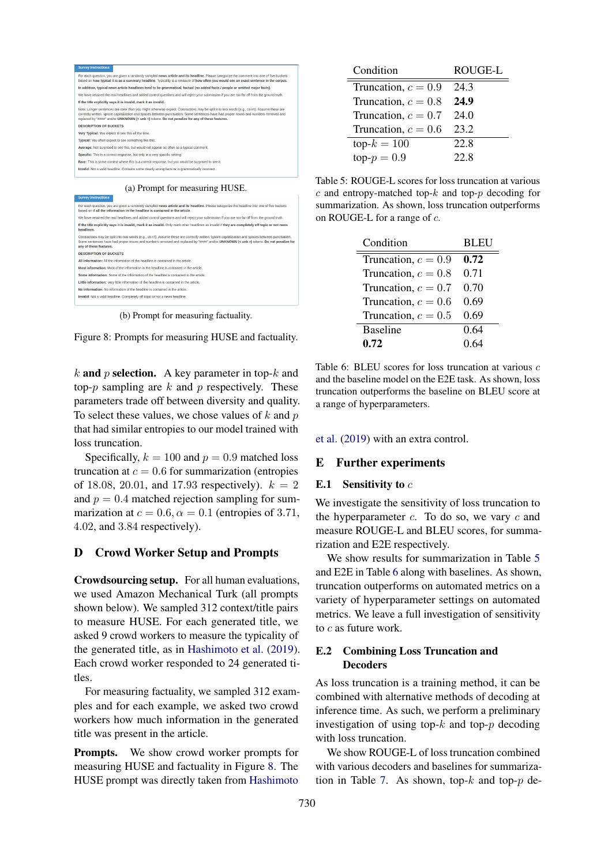<span id="page-12-3"></span>

| <b>Survey Instructions</b>                                                                          |                                                                                                                                                                                                                                                                                                                                                                                        |
|-----------------------------------------------------------------------------------------------------|----------------------------------------------------------------------------------------------------------------------------------------------------------------------------------------------------------------------------------------------------------------------------------------------------------------------------------------------------------------------------------------|
|                                                                                                     | For each question, you are given a randomly sampled news article and its headline. Please categorize the comment into one of five buckets<br>based on how typical it is as a summary headline. Typicality is a measure of how often you would see an exact sentence in the corpus.                                                                                                     |
|                                                                                                     | In addition, typical news article headlines tend to be grammatical, factual (no added facts / people or omitted major facts).                                                                                                                                                                                                                                                          |
|                                                                                                     | We have retained the real headlines and added control questions and will reject your submission if you are too far off from the ground truth.                                                                                                                                                                                                                                          |
|                                                                                                     | If the title explicitly says it is invalid, mark it as invalid.                                                                                                                                                                                                                                                                                                                        |
|                                                                                                     | Note: Longer sentences are rarer than you might otherwise expect. Contractions may be split into two words (e.g., ca n't). Assume these are<br>correctly written. Ignore capitalization and spaces between punctuation. Some sentences have had proper nouns and numbers removed and<br>replaced by "####" and/or UNKNOWN (< unk >) tokens. Do not penalize for any of these features. |
| <b>DESCRIPTION OF BUCKETS</b>                                                                       |                                                                                                                                                                                                                                                                                                                                                                                        |
| Very Typical: You expect to see this all the time.                                                  |                                                                                                                                                                                                                                                                                                                                                                                        |
| Typical: You often expect to see something like this.                                               |                                                                                                                                                                                                                                                                                                                                                                                        |
|                                                                                                     | Average: Not surprised to see this, but would not appear as often as a typical comment.                                                                                                                                                                                                                                                                                                |
|                                                                                                     | Specific: This is a correct response, but only in a very specific setting.                                                                                                                                                                                                                                                                                                             |
|                                                                                                     | Rare: This is some context where this is a correct response, but you would be surprised to see it.                                                                                                                                                                                                                                                                                     |
|                                                                                                     | Invalid: Not a valid headline. Contains some clearly wrong facts or is grammatically incorrect.                                                                                                                                                                                                                                                                                        |
| <b>Survey Instructions</b>                                                                          | (a) Prompt for measuring HUSE.<br>For each question, you are given a randomly sampled news article and its headline. Please categorize the headline into one of five buckets<br>based on if all the information in the headline is contained in the article.                                                                                                                           |
|                                                                                                     | We have retained the real headlines and added control questions and will reject your submission if you are too far off from the ground truth.                                                                                                                                                                                                                                          |
| headlines.                                                                                          | If the title explicitly says it is invalid, mark it as invalid. Only mark other headlines as invalid if they are completely off topic or not news                                                                                                                                                                                                                                      |
| any of these features.                                                                              | Contractions may be split into two words (e.g., ca n't). Assume these are correctly written. Ignore capitalization and spaces between punctuation.<br>Some sentences have had proper nouns and numbers removed and replaced by "####" and/or UNKNOWN (< unk >) tokens. Do not penalize for                                                                                             |
| <b>DESCRIPTION OF BUCKETS</b>                                                                       |                                                                                                                                                                                                                                                                                                                                                                                        |
|                                                                                                     | All information: All the information of the headline is contained in the article.                                                                                                                                                                                                                                                                                                      |
|                                                                                                     | Most information: Most of the information in the headline is contained in the article.                                                                                                                                                                                                                                                                                                 |
| Process informations Process of the information of the beautiful in contributed in the contribution |                                                                                                                                                                                                                                                                                                                                                                                        |

Little information: Very little information of the headline is contained in the article No information: No information of the headline is contained in the article Invalid: Not a valid headline. Completely off topic or not a news headline

(b) Prompt for measuring factuality.



k and p selection. A key parameter in top- $k$  and top- $p$  sampling are  $k$  and  $p$  respectively. These parameters trade off between diversity and quality. To select these values, we chose values of  $k$  and  $p$ that had similar entropies to our model trained with loss truncation.

Specifically,  $k = 100$  and  $p = 0.9$  matched loss truncation at  $c = 0.6$  for summarization (entropies of 18.08, 20.01, and 17.93 respectively).  $k = 2$ and  $p = 0.4$  matched rejection sampling for summarization at  $c = 0.6$ ,  $\alpha = 0.1$  (entropies of 3.71, 4.02, and 3.84 respectively).

### <span id="page-12-0"></span>D Crowd Worker Setup and Prompts

Crowdsourcing setup. For all human evaluations, we used Amazon Mechanical Turk (all prompts shown below). We sampled 312 context/title pairs to measure HUSE. For each generated title, we asked 9 crowd workers to measure the typicality of the generated title, as in [Hashimoto et al.](#page-9-4) [\(2019\)](#page-9-4). Each crowd worker responded to 24 generated titles.

For measuring factuality, we sampled 312 examples and for each example, we asked two crowd workers how much information in the generated title was present in the article.

Prompts. We show crowd worker prompts for measuring HUSE and factuality in Figure [8.](#page-12-3) The HUSE prompt was directly taken from [Hashimoto](#page-9-4)

<span id="page-12-4"></span>

| Condition             | ROUGE-L |  |
|-----------------------|---------|--|
| Truncation, $c = 0.9$ | 24.3    |  |
| Truncation, $c = 0.8$ | 24.9    |  |
| Truncation, $c = 0.7$ | 24.0    |  |
| Truncation, $c = 0.6$ | 23.2    |  |
| $top-k = 100$         | 22.8    |  |
| $top-p = 0.9$         | 22.8    |  |

Table 5: ROUGE-L scores for loss truncation at various  $c$  and entropy-matched top- $k$  and top- $p$  decoding for summarization. As shown, loss truncation outperforms on ROUGE-L for a range of c.

<span id="page-12-5"></span>

| Condition             | <b>BLEU</b> |  |
|-----------------------|-------------|--|
| Truncation, $c = 0.9$ | 0.72        |  |
| Truncation, $c = 0.8$ | 0.71        |  |
| Truncation, $c = 0.7$ | 0.70        |  |
| Truncation, $c = 0.6$ | 0.69        |  |
| Truncation, $c = 0.5$ | 0.69        |  |
| <b>Baseline</b>       | 0.64        |  |
| 0.72                  | 0.64        |  |

Table 6: BLEU scores for loss truncation at various c and the baseline model on the E2E task. As shown, loss truncation outperforms the baseline on BLEU score at a range of hyperparameters.

[et al.](#page-9-4) [\(2019\)](#page-9-4) with an extra control.

#### E Further experiments

#### <span id="page-12-1"></span>E.1 Sensitivity to  $c$

We investigate the sensitivity of loss truncation to the hyperparameter  $c$ . To do so, we vary  $c$  and measure ROUGE-L and BLEU scores, for summarization and E2E respectively.

We show results for summarization in Table [5](#page-12-4) and E2E in Table [6](#page-12-5) along with baselines. As shown, truncation outperforms on automated metrics on a variety of hyperparameter settings on automated metrics. We leave a full investigation of sensitivity to  $c$  as future work.

## <span id="page-12-2"></span>E.2 Combining Loss Truncation and **Decoders**

As loss truncation is a training method, it can be combined with alternative methods of decoding at inference time. As such, we perform a preliminary investigation of using top- $k$  and top- $p$  decoding with loss truncation.

We show ROUGE-L of loss truncation combined with various decoders and baselines for summariza-tion in Table [7.](#page-13-0) As shown, top- $k$  and top- $p$  de-